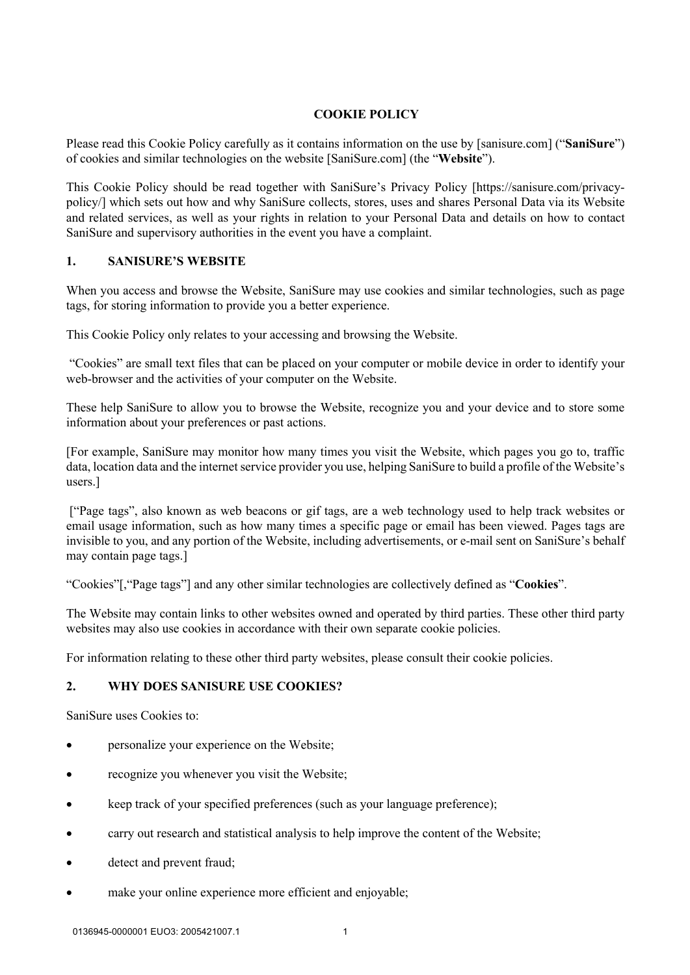## **COOKIE POLICY**

Please read this Cookie Policy carefully as it contains information on the use by [sanisure.com] ("**SaniSure**") of cookies and similar technologies on the website [SaniSure.com] (the "**Website**").

This Cookie Policy should be read together with SaniSure's Privacy Policy [https://sanisure.com/privacypolicy/] which sets out how and why SaniSure collects, stores, uses and shares Personal Data via its Website and related services, as well as your rights in relation to your Personal Data and details on how to contact SaniSure and supervisory authorities in the event you have a complaint.

### **1. SANISURE'S WEBSITE**

When you access and browse the Website, SaniSure may use cookies and similar technologies, such as page tags, for storing information to provide you a better experience.

This Cookie Policy only relates to your accessing and browsing the Website.

"Cookies" are small text files that can be placed on your computer or mobile device in order to identify your web-browser and the activities of your computer on the Website.

These help SaniSure to allow you to browse the Website, recognize you and your device and to store some information about your preferences or past actions.

[For example, SaniSure may monitor how many times you visit the Website, which pages you go to, traffic data, location data and the internet service provider you use, helping SaniSure to build a profile of the Website's users.]

["Page tags", also known as web beacons or gif tags, are a web technology used to help track websites or email usage information, such as how many times a specific page or email has been viewed. Pages tags are invisible to you, and any portion of the Website, including advertisements, or e-mail sent on SaniSure's behalf may contain page tags.]

"Cookies"[,"Page tags"] and any other similar technologies are collectively defined as "**Cookies**".

The Website may contain links to other websites owned and operated by third parties. These other third party websites may also use cookies in accordance with their own separate cookie policies.

For information relating to these other third party websites, please consult their cookie policies.

### **2. WHY DOES SANISURE USE COOKIES?**

SaniSure uses Cookies to:

- personalize your experience on the Website;
- recognize you whenever you visit the Website;
- keep track of your specified preferences (such as your language preference);
- carry out research and statistical analysis to help improve the content of the Website;
- detect and prevent fraud;
- make your online experience more efficient and enjoyable;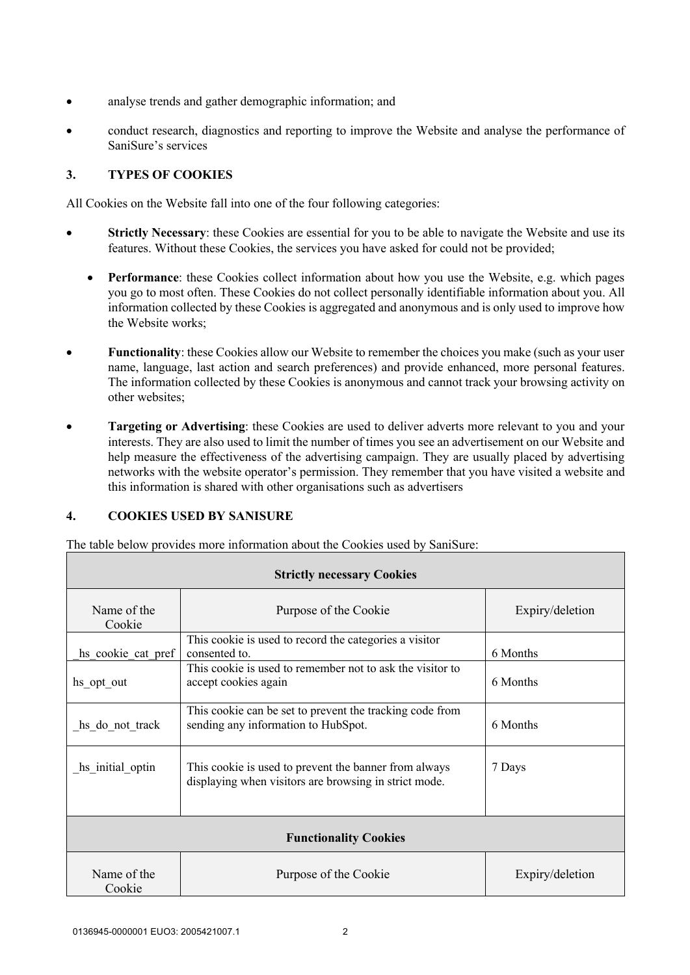- analyse trends and gather demographic information; and
- conduct research, diagnostics and reporting to improve the Website and analyse the performance of SaniSure's services

## **3. TYPES OF COOKIES**

All Cookies on the Website fall into one of the four following categories:

- **Strictly Necessary**: these Cookies are essential for you to be able to navigate the Website and use its features. Without these Cookies, the services you have asked for could not be provided;
	- **Performance**: these Cookies collect information about how you use the Website, e.g. which pages you go to most often. These Cookies do not collect personally identifiable information about you. All information collected by these Cookies is aggregated and anonymous and is only used to improve how the Website works;
- **Functionality**: these Cookies allow our Website to remember the choices you make (such as your user name, language, last action and search preferences) and provide enhanced, more personal features. The information collected by these Cookies is anonymous and cannot track your browsing activity on other websites;
- **Targeting or Advertising**: these Cookies are used to deliver adverts more relevant to you and your interests. They are also used to limit the number of times you see an advertisement on our Website and help measure the effectiveness of the advertising campaign. They are usually placed by advertising networks with the website operator's permission. They remember that you have visited a website and this information is shared with other organisations such as advertisers

# **4. COOKIES USED BY SANISURE**

The table below provides more information about the Cookies used by SaniSure:

| <b>Strictly necessary Cookies</b> |                                                                                                                |                 |  |
|-----------------------------------|----------------------------------------------------------------------------------------------------------------|-----------------|--|
| Name of the<br>Cookie             | Purpose of the Cookie                                                                                          | Expiry/deletion |  |
| hs cookie cat pref                | This cookie is used to record the categories a visitor<br>consented to.                                        | 6 Months        |  |
| hs opt out                        | This cookie is used to remember not to ask the visitor to<br>accept cookies again                              | 6 Months        |  |
| hs do not track                   | This cookie can be set to prevent the tracking code from<br>sending any information to HubSpot.                | 6 Months        |  |
| hs initial optin                  | This cookie is used to prevent the banner from always<br>displaying when visitors are browsing in strict mode. | 7 Days          |  |
| <b>Functionality Cookies</b>      |                                                                                                                |                 |  |
| Name of the<br>Cookie             | Purpose of the Cookie                                                                                          | Expiry/deletion |  |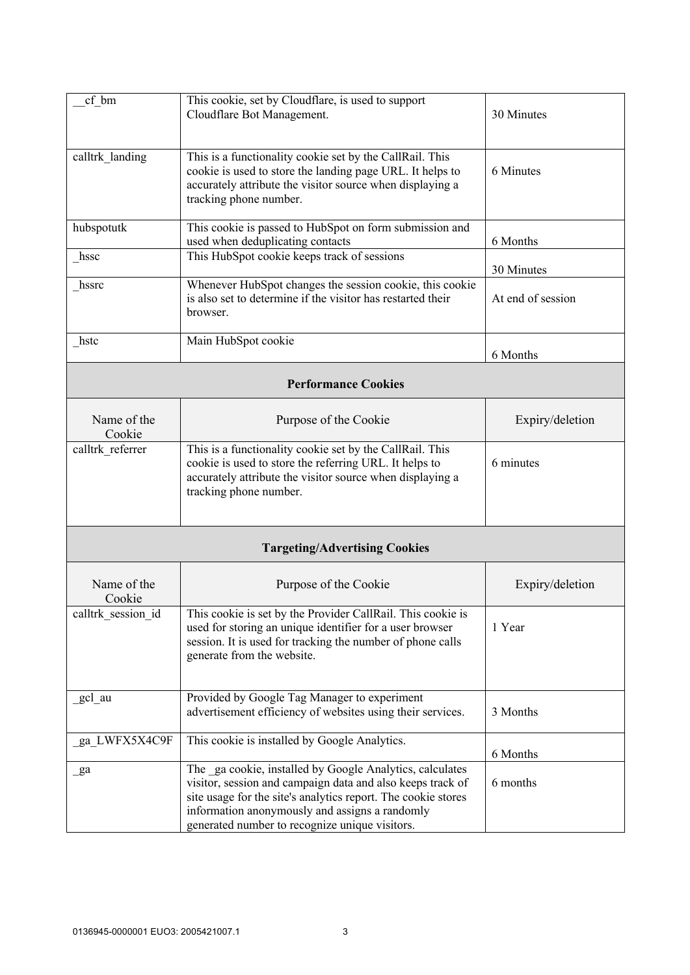| cf bm                      | This cookie, set by Cloudflare, is used to support<br>Cloudflare Bot Management.                                                                                                                                                                                                            | 30 Minutes        |  |
|----------------------------|---------------------------------------------------------------------------------------------------------------------------------------------------------------------------------------------------------------------------------------------------------------------------------------------|-------------------|--|
| calltrk landing            | This is a functionality cookie set by the CallRail. This<br>cookie is used to store the landing page URL. It helps to<br>accurately attribute the visitor source when displaying a<br>tracking phone number.                                                                                | 6 Minutes         |  |
| hubspotutk                 | This cookie is passed to HubSpot on form submission and<br>used when deduplicating contacts                                                                                                                                                                                                 | 6 Months          |  |
| hssc                       | This HubSpot cookie keeps track of sessions                                                                                                                                                                                                                                                 | 30 Minutes        |  |
| hssrc                      | Whenever HubSpot changes the session cookie, this cookie<br>is also set to determine if the visitor has restarted their<br>browser.                                                                                                                                                         | At end of session |  |
| hstc                       | Main HubSpot cookie                                                                                                                                                                                                                                                                         | 6 Months          |  |
| <b>Performance Cookies</b> |                                                                                                                                                                                                                                                                                             |                   |  |
| Name of the<br>Cookie      | Purpose of the Cookie                                                                                                                                                                                                                                                                       | Expiry/deletion   |  |
| calltrk referrer           | This is a functionality cookie set by the CallRail. This<br>cookie is used to store the referring URL. It helps to<br>accurately attribute the visitor source when displaying a<br>tracking phone number.                                                                                   | 6 minutes         |  |
|                            | <b>Targeting/Advertising Cookies</b>                                                                                                                                                                                                                                                        |                   |  |
| Name of the<br>Cookie      | Purpose of the Cookie                                                                                                                                                                                                                                                                       | Expiry/deletion   |  |
| calltrk session id         | This cookie is set by the Provider CallRail. This cookie is<br>used for storing an unique identifier for a user browser<br>session. It is used for tracking the number of phone calls<br>generate from the website.                                                                         | 1 Year            |  |
| gcl au                     | Provided by Google Tag Manager to experiment<br>advertisement efficiency of websites using their services.                                                                                                                                                                                  | 3 Months          |  |
| ga_LWFX5X4C9F              | This cookie is installed by Google Analytics.                                                                                                                                                                                                                                               | 6 Months          |  |
| $\mathbf{g}$ a             | The ga cookie, installed by Google Analytics, calculates<br>visitor, session and campaign data and also keeps track of<br>site usage for the site's analytics report. The cookie stores<br>information anonymously and assigns a randomly<br>generated number to recognize unique visitors. | 6 months          |  |